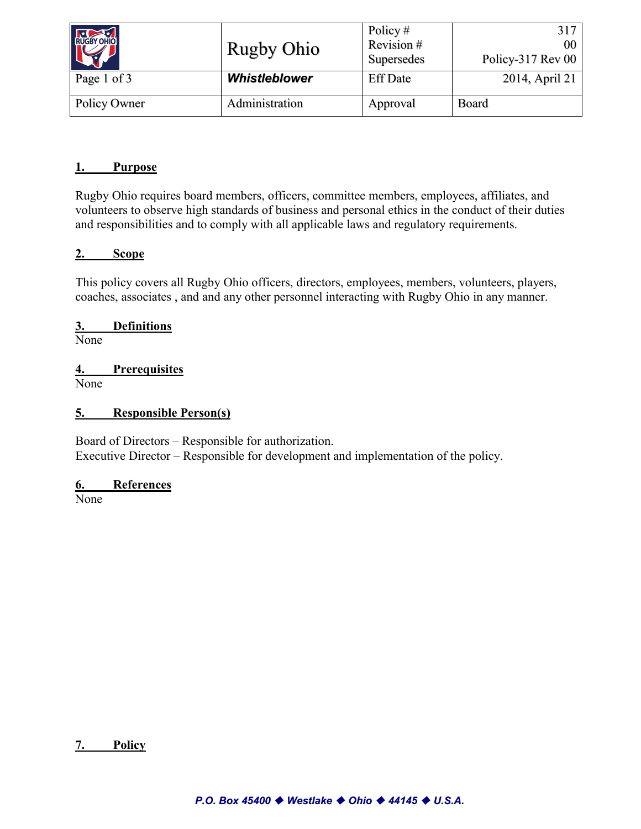| RUGBY OHIO   | <b>Rugby Ohio</b>    | Policy $#$<br>Revision#<br>Supersedes | 317<br>00<br>Policy-317 Rev 00 |
|--------------|----------------------|---------------------------------------|--------------------------------|
| Page 1 of 3  | <b>Whistleblower</b> | <b>Eff Date</b>                       | 2014, April 21                 |
| Policy Owner | Administration       | Approval                              | Board                          |

#### **1. Purpose**

Rugby Ohio requires board members, officers, committee members, employees, affiliates, and volunteers to observe high standards of business and personal ethics in the conduct of their duties and responsibilities and to comply with all applicable laws and regulatory requirements.

#### **2. Scope**

This policy covers all Rugby Ohio officers, directors, employees, members, volunteers, players, coaches, associates , and and any other personnel interacting with Rugby Ohio in any manner.

# **3. Definitions**

None

# **4. Prerequisites**

None

#### **5. Responsible Person(s)**

Board of Directors – Responsible for authorization. Executive Director – Responsible for development and implementation of the policy.

#### **6. References**

None

#### **7. Policy**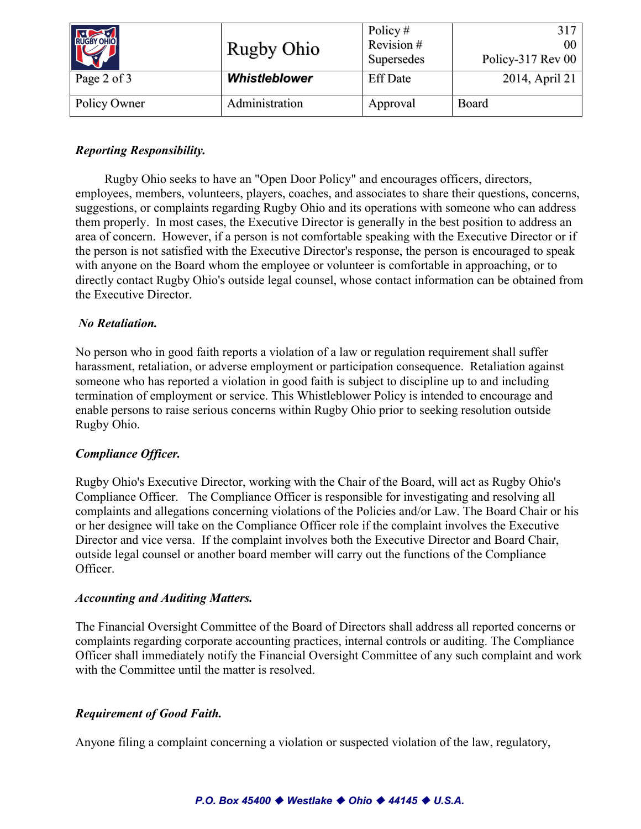| RUGBY OHIO   | <b>Rugby Ohio</b>    | Policy $#$<br>Revision#<br>Supersedes | 317<br>00<br>Policy-317 Rev 00 |
|--------------|----------------------|---------------------------------------|--------------------------------|
| Page 2 of 3  | <b>Whistleblower</b> | <b>Eff Date</b>                       | 2014, April 21                 |
| Policy Owner | Administration       | Approval                              | Board                          |

# *Reporting Responsibility.*

Rugby Ohio seeks to have an "Open Door Policy" and encourages officers, directors, employees, members, volunteers, players, coaches, and associates to share their questions, concerns, suggestions, or complaints regarding Rugby Ohio and its operations with someone who can address them properly. In most cases, the Executive Director is generally in the best position to address an area of concern. However, if a person is not comfortable speaking with the Executive Director or if the person is not satisfied with the Executive Director's response, the person is encouraged to speak with anyone on the Board whom the employee or volunteer is comfortable in approaching, or to directly contact Rugby Ohio's outside legal counsel, whose contact information can be obtained from the Executive Director.

## *No Retaliation.*

No person who in good faith reports a violation of a law or regulation requirement shall suffer harassment, retaliation, or adverse employment or participation consequence. Retaliation against someone who has reported a violation in good faith is subject to discipline up to and including termination of employment or service. This Whistleblower Policy is intended to encourage and enable persons to raise serious concerns within Rugby Ohio prior to seeking resolution outside Rugby Ohio.

## *Compliance Officer.*

Rugby Ohio's Executive Director, working with the Chair of the Board, will act as Rugby Ohio's Compliance Officer. The Compliance Officer is responsible for investigating and resolving all complaints and allegations concerning violations of the Policies and/or Law. The Board Chair or his or her designee will take on the Compliance Officer role if the complaint involves the Executive Director and vice versa. If the complaint involves both the Executive Director and Board Chair, outside legal counsel or another board member will carry out the functions of the Compliance Officer.

## *Accounting and Auditing Matters.*

The Financial Oversight Committee of the Board of Directors shall address all reported concerns or complaints regarding corporate accounting practices, internal controls or auditing. The Compliance Officer shall immediately notify the Financial Oversight Committee of any such complaint and work with the Committee until the matter is resolved.

## *Requirement of Good Faith.*

Anyone filing a complaint concerning a violation or suspected violation of the law, regulatory,

#### *P.O. Box 45400 Westlake Ohio 44145 U.S.A.*